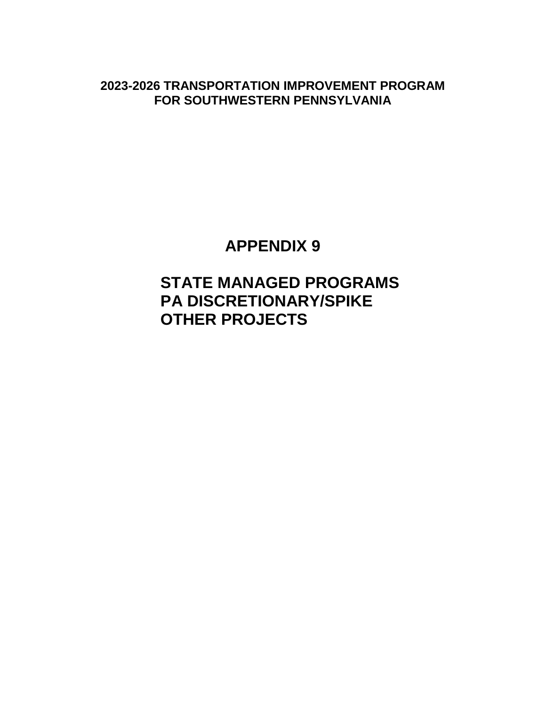**2023-2026 TRANSPORTATION IMPROVEMENT PROGRAM FOR SOUTHWESTERN PENNSYLVANIA**

# **APPENDIX 9**

# **STATE MANAGED PROGRAMS PA DISCRETIONARY/SPIKE OTHER PROJECTS**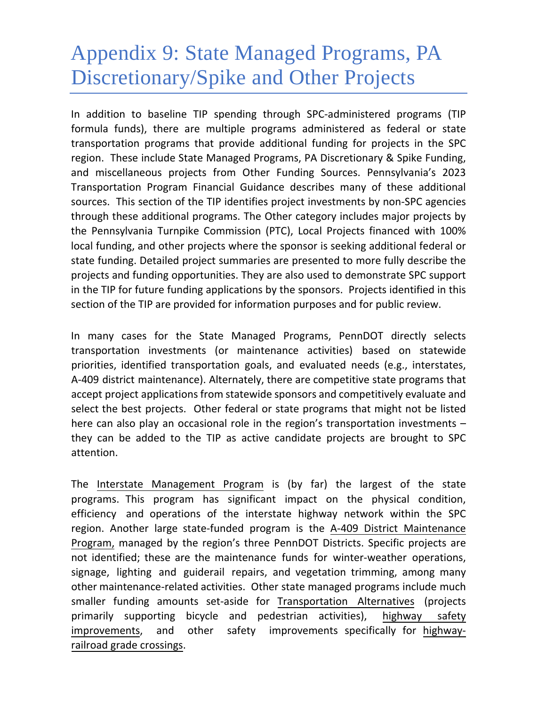# Appendix 9: State Managed Programs, PA Discretionary/Spike and Other Projects

In addition to baseline TIP spending through SPC-administered programs (TIP formula funds), there are multiple programs administered as federal or state transportation programs that provide additional funding for projects in the SPC region. These include State Managed Programs, PA Discretionary & Spike Funding, and miscellaneous projects from Other Funding Sources. Pennsylvania's 2023 Transportation Program Financial Guidance describes many of these additional sources. This section of the TIP identifies project investments by non-SPC agencies through these additional programs. The Other category includes major projects by the Pennsylvania Turnpike Commission (PTC), Local Projects financed with 100% local funding, and other projects where the sponsor is seeking additional federal or state funding. Detailed project summaries are presented to more fully describe the projects and funding opportunities. They are also used to demonstrate SPC support in the TIP for future funding applications by the sponsors. Projects identified in this section of the TIP are provided for information purposes and for public review.

In many cases for the State Managed Programs, PennDOT directly selects transportation investments (or maintenance activities) based on statewide priorities, identified transportation goals, and evaluated needs (e.g., interstates, A-409 district maintenance). Alternately, there are competitive state programs that accept project applications from statewide sponsors and competitively evaluate and select the best projects. Other federal or state programs that might not be listed here can also play an occasional role in the region's transportation investments – they can be added to the TIP as active candidate projects are brought to SPC attention.

The Interstate Management Program is (by far) the largest of the state programs. This program has significant impact on the physical condition, efficiency and operations of the interstate highway network within the SPC region. Another large state-funded program is the A-409 District Maintenance Program, managed by the region's three PennDOT Districts. Specific projects are not identified; these are the maintenance funds for winter-weather operations, signage, lighting and guiderail repairs, and vegetation trimming, among many other maintenance-related activities. Other state managed programs include much smaller funding amounts set-aside for Transportation Alternatives (projects primarily supporting bicycle and pedestrian activities), highway safety improvements, and other safety improvements specifically for highwayrailroad grade crossings.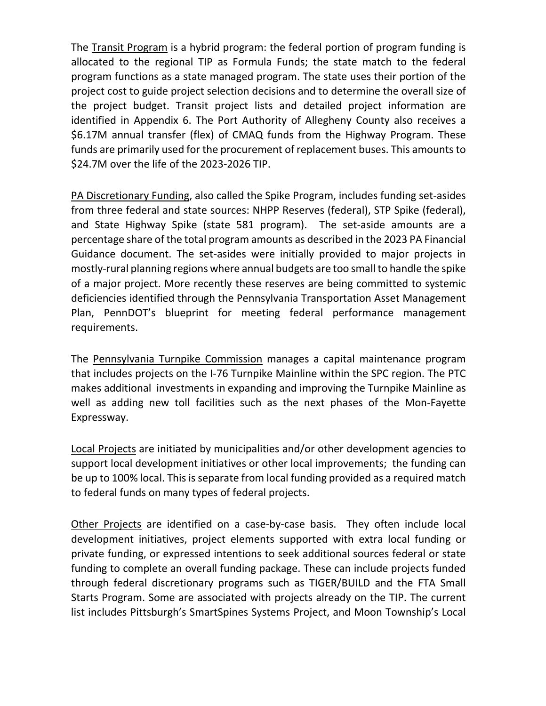The Transit Program is a hybrid program: the federal portion of program funding is allocated to the regional TIP as Formula Funds; the state match to the federal program functions as a state managed program. The state uses their portion of the project cost to guide project selection decisions and to determine the overall size of the project budget. Transit project lists and detailed project information are identified in Appendix 6. The Port Authority of Allegheny County also receives a \$6.17M annual transfer (flex) of CMAQ funds from the Highway Program. These funds are primarily used for the procurement of replacement buses. This amounts to \$24.7M over the life of the 2023-2026 TIP.

PA Discretionary Funding, also called the Spike Program, includes funding set-asides from three federal and state sources: NHPP Reserves (federal), STP Spike (federal), and State Highway Spike (state 581 program). The set-aside amounts are a percentage share of the total program amounts as described in the 2023 PA Financial Guidance document. The set-asides were initially provided to major projects in mostly-rural planning regions where annual budgets are too small to handle the spike of a major project. More recently these reserves are being committed to systemic deficiencies identified through the Pennsylvania Transportation Asset Management Plan, PennDOT's blueprint for meeting federal performance management requirements.

The Pennsylvania Turnpike Commission manages a capital maintenance program that includes projects on the I-76 Turnpike Mainline within the SPC region. The PTC makes additional investments in expanding and improving the Turnpike Mainline as well as adding new toll facilities such as the next phases of the Mon-Fayette Expressway.

Local Projects are initiated by municipalities and/or other development agencies to support local development initiatives or other local improvements; the funding can be up to 100% local. This is separate from local funding provided as a required match to federal funds on many types of federal projects.

Other Projects are identified on a case-by-case basis. They often include local development initiatives, project elements supported with extra local funding or private funding, or expressed intentions to seek additional sources federal or state funding to complete an overall funding package. These can include projects funded through federal discretionary programs such as TIGER/BUILD and the FTA Small Starts Program. Some are associated with projects already on the TIP. The current list includes Pittsburgh's SmartSpines Systems Project, and Moon Township's Local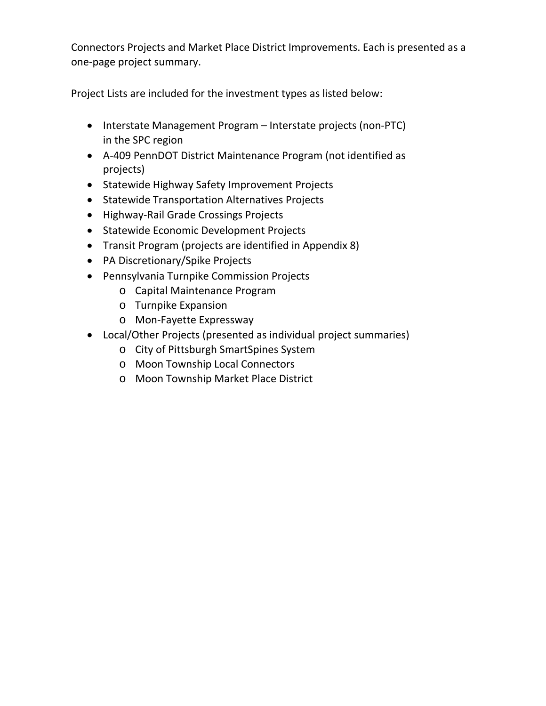Connectors Projects and Market Place District Improvements. Each is presented as a one-page project summary.

Project Lists are included for the investment types as listed below:

- Interstate Management Program Interstate projects (non-PTC) in the SPC region
- A-409 PennDOT District Maintenance Program (not identified as projects)
- Statewide Highway Safety Improvement Projects
- Statewide Transportation Alternatives Projects
- Highway-Rail Grade Crossings Projects
- Statewide Economic Development Projects
- Transit Program (projects are identified in Appendix 8)
- PA Discretionary/Spike Projects
- Pennsylvania Turnpike Commission Projects
	- o Capital Maintenance Program
	- o Turnpike Expansion
	- o Mon-Fayette Expressway
- Local/Other Projects (presented as individual project summaries)
	- o City of Pittsburgh SmartSpines System
	- o Moon Township Local Connectors
	- o Moon Township Market Place District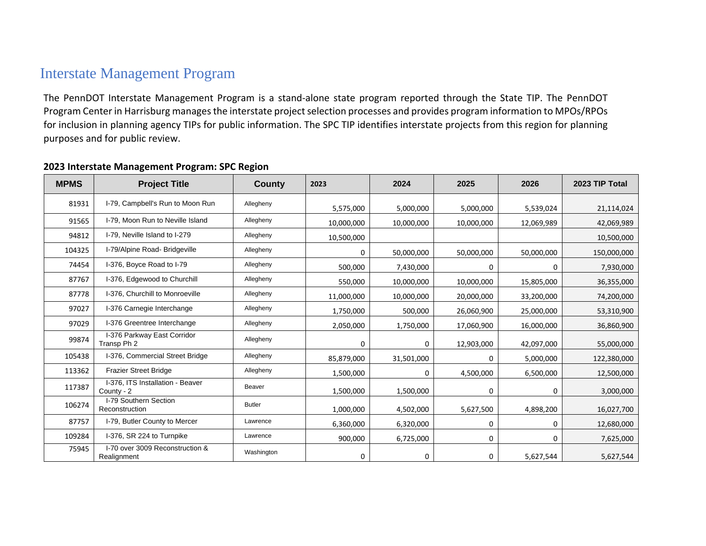# Interstate Management Program

The PennDOT Interstate Management Program is a stand-alone state program reported through the State TIP. The PennDOT Program Center in Harrisburg manages the interstate project selection processes and provides program information to MPOs/RPOs for inclusion in planning agency TIPs for public information. The SPC TIP identifies interstate projects from this region for planning purposes and for public review.

| <b>MPMS</b> | <b>Project Title</b>                           | <b>County</b> | 2023       | 2024       | 2025       | 2026       | 2023 TIP Total |
|-------------|------------------------------------------------|---------------|------------|------------|------------|------------|----------------|
| 81931       | I-79, Campbell's Run to Moon Run               | Allegheny     | 5,575,000  | 5,000,000  | 5,000,000  | 5,539,024  | 21,114,024     |
| 91565       | I-79, Moon Run to Neville Island               | Allegheny     | 10,000,000 | 10,000,000 | 10,000,000 | 12,069,989 | 42,069,989     |
| 94812       | I-79, Neville Island to I-279                  | Allegheny     | 10,500,000 |            |            |            | 10,500,000     |
| 104325      | I-79/Alpine Road- Bridgeville                  | Allegheny     | 0          | 50,000,000 | 50,000,000 | 50,000,000 | 150,000,000    |
| 74454       | I-376, Boyce Road to I-79                      | Allegheny     | 500,000    | 7,430,000  | 0          | 0          | 7,930,000      |
| 87767       | I-376, Edgewood to Churchill                   | Allegheny     | 550,000    | 10,000,000 | 10,000,000 | 15,805,000 | 36,355,000     |
| 87778       | I-376, Churchill to Monroeville                | Allegheny     | 11,000,000 | 10,000,000 | 20,000,000 | 33,200,000 | 74,200,000     |
| 97027       | I-376 Carnegie Interchange                     | Allegheny     | 1,750,000  | 500,000    | 26,060,900 | 25,000,000 | 53,310,900     |
| 97029       | I-376 Greentree Interchange                    | Allegheny     | 2,050,000  | 1,750,000  | 17,060,900 | 16,000,000 | 36,860,900     |
| 99874       | I-376 Parkway East Corridor<br>Transp Ph 2     | Allegheny     | 0          | 0          | 12,903,000 | 42,097,000 | 55,000,000     |
| 105438      | I-376, Commercial Street Bridge                | Allegheny     | 85,879,000 | 31,501,000 | 0          | 5,000,000  | 122,380,000    |
| 113362      | <b>Frazier Street Bridge</b>                   | Allegheny     | 1,500,000  | 0          | 4,500,000  | 6,500,000  | 12,500,000     |
| 117387      | I-376. ITS Installation - Beaver<br>County - 2 | <b>Beaver</b> | 1,500,000  | 1,500,000  | 0          | 0          | 3,000,000      |
| 106274      | I-79 Southern Section<br>Reconstruction        | <b>Butler</b> | 1,000,000  | 4,502,000  | 5,627,500  | 4,898,200  | 16,027,700     |
| 87757       | I-79, Butler County to Mercer                  | Lawrence      | 6,360,000  | 6,320,000  | 0          | 0          | 12,680,000     |
| 109284      | I-376, SR 224 to Turnpike                      | Lawrence      | 900,000    | 6,725,000  | 0          | 0          | 7,625,000      |
| 75945       | I-70 over 3009 Reconstruction &<br>Realignment | Washington    | 0          | 0          | 0          | 5,627,544  | 5,627,544      |

#### **Interstate Management Program: SPC Region**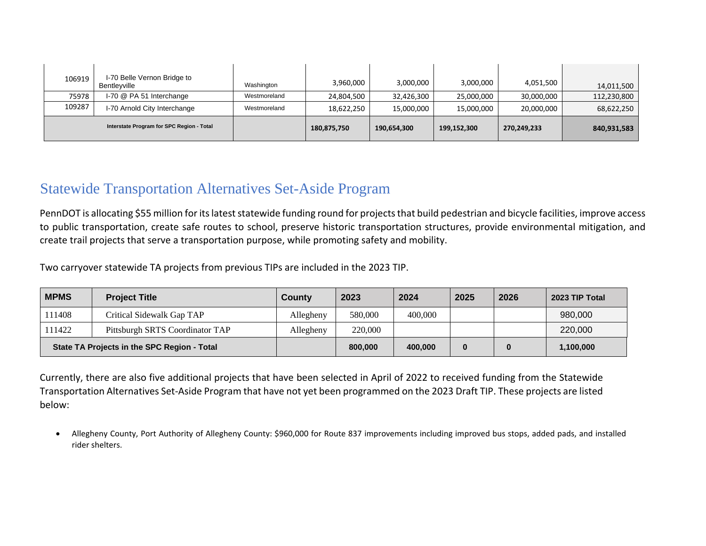| 106919                                    | I-70 Belle Vernon Bridge to<br>Bentlevville | Washington   | 3,960,000   | 3,000,000   | 3,000,000   | 4,051,500   | 14,011,500  |
|-------------------------------------------|---------------------------------------------|--------------|-------------|-------------|-------------|-------------|-------------|
| 75978                                     | I-70 @ PA 51 Interchange                    | Westmoreland | 24,804,500  | 32,426,300  | 25,000,000  | 30,000,000  | 112,230,800 |
| 109287                                    | I-70 Arnold City Interchange                | Westmoreland | 18,622,250  | 15,000,000  | 15,000,000  | 20,000,000  | 68,622,250  |
| Interstate Program for SPC Region - Total |                                             |              | 180,875,750 | 190,654,300 | 199,152,300 | 270,249,233 | 840,931,583 |

### Statewide Transportation Alternatives Set-Aside Program

PennDOT is allocating \$55 million for its latest statewide funding round for projects that build pedestrian and bicycle facilities, improve access to public transportation, create safe routes to school, preserve historic transportation structures, provide environmental mitigation, and create trail projects that serve a transportation purpose, while promoting safety and mobility.

Two carryover statewide TA projects from previous TIPs are included in the 2023 TIP.

| <b>MPMS</b> | <b>Project Title</b>                        | County    | 2023    | 2024    | 2025 | 2026 | 2023 TIP Total |
|-------------|---------------------------------------------|-----------|---------|---------|------|------|----------------|
| 111408      | Critical Sidewalk Gap TAP                   | Allegheny | 580,000 | 400,000 |      |      | 980,000        |
| 111422      | Pittsburgh SRTS Coordinator TAP             | Allegheny | 220,000 |         |      |      | 220,000        |
|             | State TA Projects in the SPC Region - Total |           | 800,000 | 400.000 |      |      | 1,100,000      |

Currently, there are also five additional projects that have been selected in April of 2022 to received funding from the Statewide Transportation Alternatives Set-Aside Program that have not yet been programmed on the 2023 Draft TIP. These projects are listed below:

• Allegheny County, Port Authority of Allegheny County: \$960,000 for Route 837 improvements including improved bus stops, added pads, and installed rider shelters.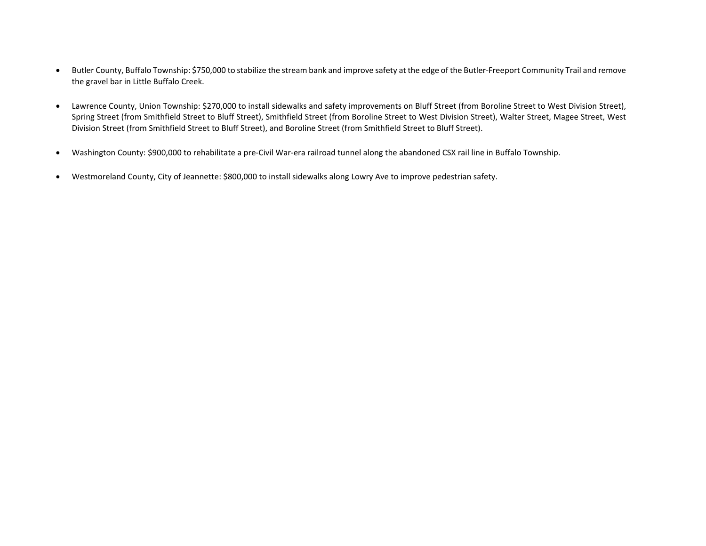- Butler County, Buffalo Township: \$750,000 to stabilize the stream bank and improve safety at the edge of the Butler-Freeport Community Trail and remove the gravel bar in Little Buffalo Creek.
- Lawrence County, Union Township: \$270,000 to install sidewalks and safety improvements on Bluff Street (from Boroline Street to West Division Street), Spring Street (from Smithfield Street to Bluff Street), Smithfield Street (from Boroline Street to West Division Street), Walter Street, Magee Street, West Division Street (from Smithfield Street to Bluff Street), and Boroline Street (from Smithfield Street to Bluff Street).
- Washington County: \$900,000 to rehabilitate a pre-Civil War-era railroad tunnel along the abandoned CSX rail line in Buffalo Township.
- Westmoreland County, City of Jeannette: \$800,000 to install sidewalks along Lowry Ave to improve pedestrian safety.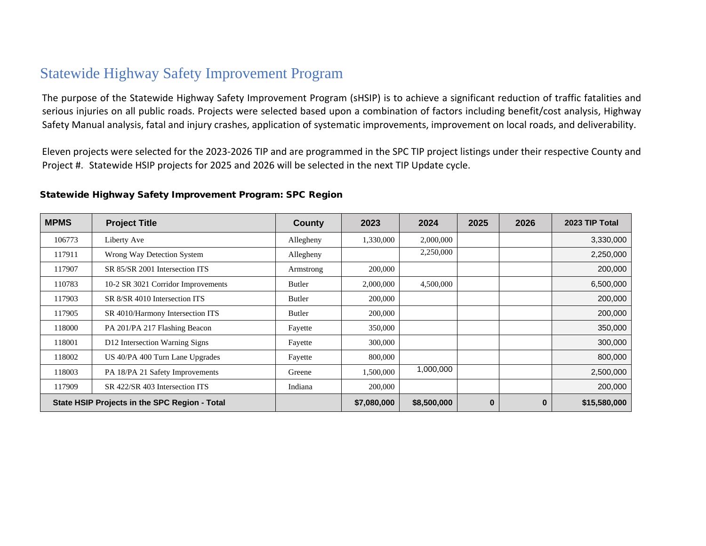### Statewide Highway Safety Improvement Program

The purpose of the Statewide Highway Safety Improvement Program (sHSIP) is to achieve a significant reduction of traffic fatalities and serious injuries on all public roads. Projects were selected based upon a combination of factors including benefit/cost analysis, Highway Safety Manual analysis, fatal and injury crashes, application of systematic improvements, improvement on local roads, and deliverability.

Eleven projects were selected for the 2023-2026 TIP and are programmed in the SPC TIP project listings under their respective County and Project #. Statewide HSIP projects for 2025 and 2026 will be selected in the next TIP Update cycle.

#### Statewide Highway Safety Improvement Program: SPC Region

| <b>MPMS</b>                                   | <b>Project Title</b>               | <b>County</b> | 2023        | 2024        | 2025     | 2026     | 2023 TIP Total |
|-----------------------------------------------|------------------------------------|---------------|-------------|-------------|----------|----------|----------------|
| 106773                                        | Liberty Ave                        | Allegheny     | 1,330,000   | 2,000,000   |          |          | 3,330,000      |
| 117911                                        | Wrong Way Detection System         | Allegheny     |             | 2,250,000   |          |          | 2,250,000      |
| 117907                                        | SR 85/SR 2001 Intersection ITS     | Armstrong     | 200,000     |             |          |          | 200,000        |
| 110783                                        | 10-2 SR 3021 Corridor Improvements | Butler        | 2,000,000   | 4,500,000   |          |          | 6,500,000      |
| 117903                                        | SR 8/SR 4010 Intersection ITS      | Butler        | 200,000     |             |          |          | 200,000        |
| 117905                                        | SR 4010/Harmony Intersection ITS   | Butler        | 200,000     |             |          |          | 200,000        |
| 118000                                        | PA 201/PA 217 Flashing Beacon      | Fayette       | 350,000     |             |          |          | 350,000        |
| 118001                                        | D12 Intersection Warning Signs     | Fayette       | 300,000     |             |          |          | 300,000        |
| 118002                                        | US 40/PA 400 Turn Lane Upgrades    | Fayette       | 800,000     |             |          |          | 800,000        |
| 118003                                        | PA 18/PA 21 Safety Improvements    | Greene        | 1,500,000   | 1,000,000   |          |          | 2,500,000      |
| 117909                                        | SR 422/SR 403 Intersection ITS     | Indiana       | 200,000     |             |          |          | 200,000        |
| State HSIP Projects in the SPC Region - Total |                                    |               | \$7,080,000 | \$8,500,000 | $\bf{0}$ | $\bf{0}$ | \$15,580,000   |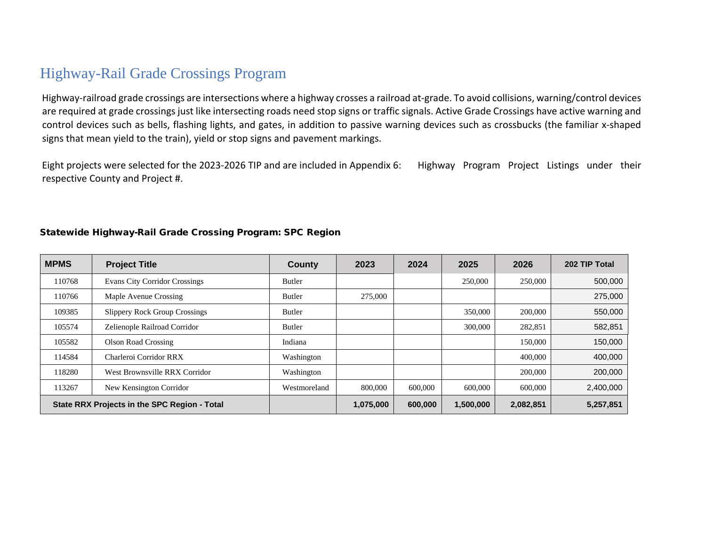# Highway-Rail Grade Crossings Program

Highway-railroad grade crossings are intersections where a highway crosses a railroad at-grade. To avoid collisions, warning/control devices are required at grade crossings just like intersecting roads need stop signs or traffic signals. Active Grade Crossings have active warning and control devices such as bells, flashing lights, and gates, in addition to passive warning devices such as crossbucks (the familiar x-shaped signs that mean yield to the train), yield or stop signs and pavement markings.

Eight projects were selected for the 2023-2026 TIP and are included in Appendix 6: Highway Program Project Listings under their respective County and Project #.

| <b>MPMS</b> | <b>Project Title</b>                         | <b>County</b> | 2023      | 2024    | 2025      | 2026      | 202 TIP Total |
|-------------|----------------------------------------------|---------------|-----------|---------|-----------|-----------|---------------|
| 110768      | <b>Evans City Corridor Crossings</b>         | <b>Butler</b> |           |         | 250,000   | 250,000   | 500,000       |
| 110766      | Maple Avenue Crossing                        | <b>Butler</b> | 275,000   |         |           |           | 275,000       |
| 109385      | <b>Slippery Rock Group Crossings</b>         | <b>Butler</b> |           |         | 350,000   | 200,000   | 550,000       |
| 105574      | Zelienople Railroad Corridor                 | <b>Butler</b> |           |         | 300,000   | 282,851   | 582,851       |
| 105582      | <b>Olson Road Crossing</b>                   | Indiana       |           |         |           | 150,000   | 150,000       |
| 114584      | Charleroi Corridor RRX                       | Washington    |           |         |           | 400,000   | 400,000       |
| 118280      | West Brownsville RRX Corridor                | Washington    |           |         |           | 200,000   | 200,000       |
| 113267      | New Kensington Corridor                      | Westmoreland  | 800,000   | 600,000 | 600,000   | 600,000   | 2,400,000     |
|             | State RRX Projects in the SPC Region - Total |               | 1,075,000 | 600,000 | 1,500,000 | 2,082,851 | 5,257,851     |

#### Statewide Highway-Rail Grade Crossing Program: SPC Region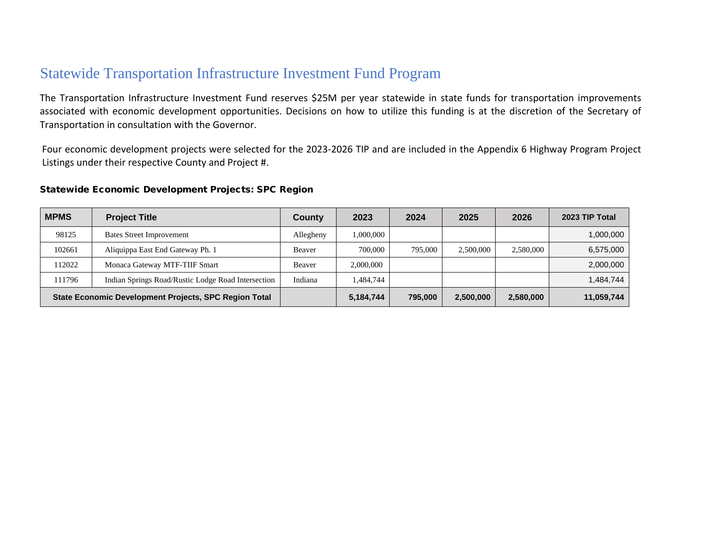### Statewide Transportation Infrastructure Investment Fund Program

The Transportation Infrastructure Investment Fund reserves \$25M per year statewide in state funds for transportation improvements associated with economic development opportunities. Decisions on how to utilize this funding is at the discretion of the Secretary of Transportation in consultation with the Governor.

Four economic development projects were selected for the 2023-2026 TIP and are included in the Appendix 6 Highway Program Project Listings under their respective County and Project #.

#### Statewide Economic Development Projects: SPC Region

| <b>MPMS</b> | <b>Project Title</b>                                  | County    | 2023      | 2024    | 2025      | 2026      | 2023 TIP Total |
|-------------|-------------------------------------------------------|-----------|-----------|---------|-----------|-----------|----------------|
| 98125       | <b>Bates Street Improvement</b>                       | Allegheny | 1,000,000 |         |           |           | 1,000,000      |
| 102661      | Aliquippa East End Gateway Ph. 1                      | Beaver    | 700,000   | 795,000 | 2.500,000 | 2,580,000 | 6,575,000      |
| 112022      | Monaca Gateway MTF-TIIF Smart                         | Beaver    | 2,000,000 |         |           |           | 2,000,000      |
| 111796      | Indian Springs Road/Rustic Lodge Road Intersection    | Indiana   | 1,484,744 |         |           |           | 1,484,744      |
|             | State Economic Development Projects, SPC Region Total |           | 5,184,744 | 795,000 | 2,500,000 | 2,580,000 | 11,059,744     |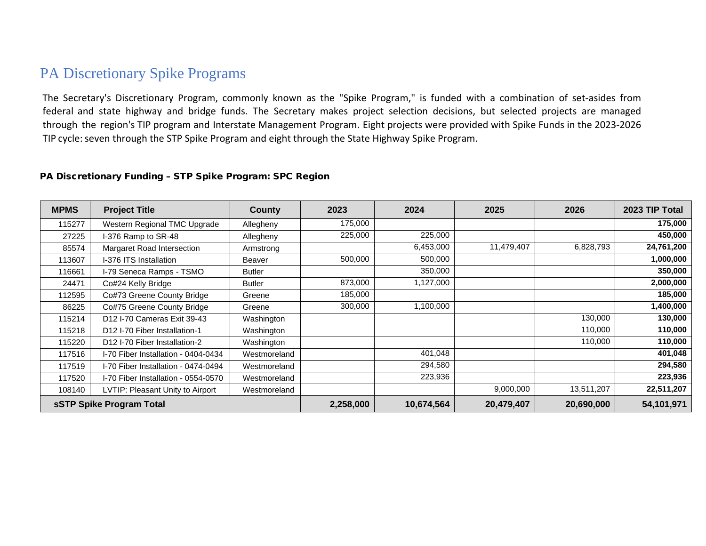### PA Discretionary Spike Programs

The Secretary's Discretionary Program, commonly known as the "Spike Program," is funded with a combination of set-asides from federal and state highway and bridge funds. The Secretary makes project selection decisions, but selected projects are managed through the region's TIP program and Interstate Management Program. Eight projects were provided with Spike Funds in the 2023-2026 TIP cycle: seven through the STP Spike Program and eight through the State Highway Spike Program.

#### PA Discretionary Funding – STP Spike Program: SPC Region

| <b>MPMS</b>              | <b>Project Title</b>                      | County        | 2023      | 2024       | 2025       | 2026       | 2023 TIP Total |
|--------------------------|-------------------------------------------|---------------|-----------|------------|------------|------------|----------------|
| 115277                   | Western Regional TMC Upgrade              | Allegheny     | 175,000   |            |            |            | 175,000        |
| 27225                    | I-376 Ramp to SR-48                       | Allegheny     | 225,000   | 225,000    |            |            | 450,000        |
| 85574                    | Margaret Road Intersection                | Armstrong     |           | 6,453,000  | 11,479,407 | 6,828,793  | 24,761,200     |
| 113607                   | I-376 ITS Installation                    | Beaver        | 500,000   | 500,000    |            |            | 1,000,000      |
| 116661                   | I-79 Seneca Ramps - TSMO                  | <b>Butler</b> |           | 350,000    |            |            | 350,000        |
| 24471                    | Co#24 Kelly Bridge                        | <b>Butler</b> | 873,000   | 1,127,000  |            |            | 2,000,000      |
| 112595                   | Co#73 Greene County Bridge                | Greene        | 185,000   |            |            |            | 185,000        |
| 86225                    | Co#75 Greene County Bridge                | Greene        | 300,000   | 1,100,000  |            |            | 1,400,000      |
| 115214                   | D12 I-70 Cameras Exit 39-43               | Washington    |           |            |            | 130,000    | 130,000        |
| 115218                   | D12 I-70 Fiber Installation-1             | Washington    |           |            |            | 110,000    | 110,000        |
| 115220                   | D <sub>12</sub> I-70 Fiber Installation-2 | Washington    |           |            |            | 110,000    | 110,000        |
| 117516                   | I-70 Fiber Installation - 0404-0434       | Westmoreland  |           | 401,048    |            |            | 401,048        |
| 117519                   | I-70 Fiber Installation - 0474-0494       | Westmoreland  |           | 294,580    |            |            | 294,580        |
| 117520                   | I-70 Fiber Installation - 0554-0570       | Westmoreland  |           | 223,936    |            |            | 223,936        |
| 108140                   | LVTIP: Pleasant Unity to Airport          | Westmoreland  |           |            | 9,000,000  | 13,511,207 | 22,511,207     |
| sSTP Spike Program Total |                                           |               | 2,258,000 | 10,674,564 | 20,479,407 | 20,690,000 | 54,101,971     |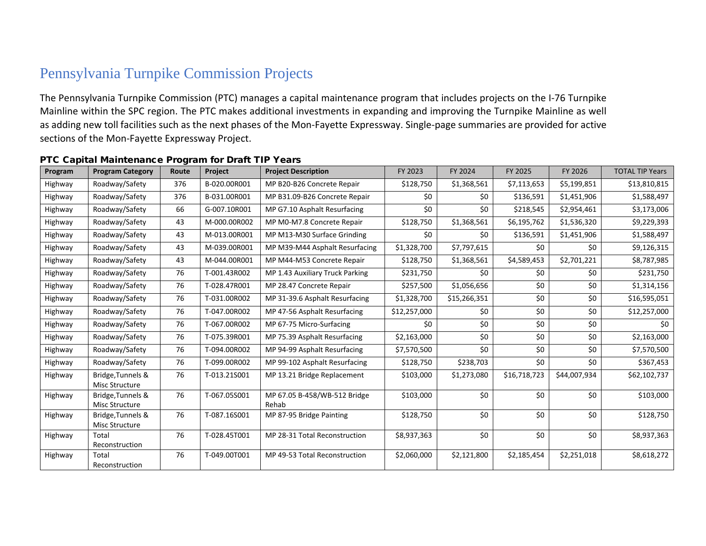# Pennsylvania Turnpike Commission Projects

The Pennsylvania Turnpike Commission (PTC) manages a capital maintenance program that includes projects on the I-76 Turnpike Mainline within the SPC region. The PTC makes additional investments in expanding and improving the Turnpike Mainline as well as adding new toll facilities such as the next phases of the Mon-Fayette Expressway. Single-page summaries are provided for active sections of the Mon-Fayette Expressway Project.

| Program | <b>Program Category</b>                    | Route | Project      | <b>Project Description</b>            | FY 2023      | FY 2024      | FY 2025      | FY 2026      | <b>TOTAL TIP Years</b> |
|---------|--------------------------------------------|-------|--------------|---------------------------------------|--------------|--------------|--------------|--------------|------------------------|
| Highway | Roadway/Safety                             | 376   | B-020.00R001 | MP B20-B26 Concrete Repair            | \$128,750    | \$1,368,561  | \$7,113,653  | \$5,199,851  | \$13,810,815           |
| Highway | Roadway/Safety                             | 376   | B-031.00R001 | MP B31.09-B26 Concrete Repair         | \$0          | \$0          | \$136,591    | \$1,451,906  | \$1,588,497            |
| Highway | Roadway/Safety                             | 66    | G-007.10R001 | MP G7.10 Asphalt Resurfacing          | \$0          | \$0          | \$218,545    | \$2,954,461  | \$3,173,006            |
| Highway | Roadway/Safety                             | 43    | M-000.00R002 | MP M0-M7.8 Concrete Repair            | \$128,750    | \$1,368,561  | \$6,195,762  | \$1,536,320  | \$9,229,393            |
| Highway | Roadway/Safety                             | 43    | M-013.00R001 | MP M13-M30 Surface Grinding           | \$0          | \$0          | \$136,591    | \$1,451,906  | \$1,588,497            |
| Highway | Roadway/Safety                             | 43    | M-039.00R001 | MP M39-M44 Asphalt Resurfacing        | \$1,328,700  | \$7,797,615  | \$0          | \$0          | \$9,126,315            |
| Highway | Roadway/Safety                             | 43    | M-044.00R001 | MP M44-M53 Concrete Repair            | \$128,750    | \$1,368,561  | \$4,589,453  | \$2,701,221  | \$8,787,985            |
| Highway | Roadway/Safety                             | 76    | T-001.43R002 | MP 1.43 Auxiliary Truck Parking       | \$231,750    | \$0          | \$0          | \$0          | \$231,750              |
| Highway | Roadway/Safety                             | 76    | T-028.47R001 | MP 28.47 Concrete Repair              | \$257,500    | \$1,056,656  | \$0          | \$0          | \$1,314,156            |
| Highway | Roadway/Safety                             | 76    | T-031.00R002 | MP 31-39.6 Asphalt Resurfacing        | \$1,328,700  | \$15,266,351 | \$0          | \$0          | \$16,595,051           |
| Highway | Roadway/Safety                             | 76    | T-047.00R002 | MP 47-56 Asphalt Resurfacing          | \$12,257,000 | \$0          | \$0          | \$0          | \$12,257,000           |
| Highway | Roadway/Safety                             | 76    | T-067.00R002 | MP 67-75 Micro-Surfacing              | \$0          | \$0          | \$0          | \$0          | \$0                    |
| Highway | Roadway/Safety                             | 76    | T-075.39R001 | MP 75.39 Asphalt Resurfacing          | \$2,163,000  | \$0          | \$0          | \$0          | \$2,163,000            |
| Highway | Roadway/Safety                             | 76    | T-094.00R002 | MP 94-99 Asphalt Resurfacing          | \$7,570,500  | \$0          | \$0          | \$0          | \$7,570,500            |
| Highway | Roadway/Safety                             | 76    | T-099.00R002 | MP 99-102 Asphalt Resurfacing         | \$128,750    | \$238,703    | \$0          | \$0          | \$367,453              |
| Highway | Bridge, Tunnels &<br>Misc Structure        | 76    | T-013.21S001 | MP 13.21 Bridge Replacement           | \$103,000    | \$1,273,080  | \$16,718,723 | \$44,007,934 | \$62,102,737           |
| Highway | Bridge, Tunnels &<br>Misc Structure        | 76    | T-067.05S001 | MP 67.05 B-458/WB-512 Bridge<br>Rehab | \$103,000    | \$0          | \$0          | \$0          | \$103,000              |
| Highway | Bridge, Tunnels &<br><b>Misc Structure</b> | 76    | T-087.16S001 | MP 87-95 Bridge Painting              | \$128,750    | \$0          | \$0          | \$0          | \$128,750              |
| Highway | Total<br>Reconstruction                    | 76    | T-028.45T001 | MP 28-31 Total Reconstruction         | \$8,937,363  | \$0          | \$0          | \$0          | \$8,937,363            |
| Highway | Total<br>Reconstruction                    | 76    | T-049.00T001 | MP 49-53 Total Reconstruction         | \$2,060,000  | \$2,121,800  | \$2,185,454  | \$2,251,018  | \$8,618,272            |

#### PTC Capital Maintenance Program for Draft TIP Years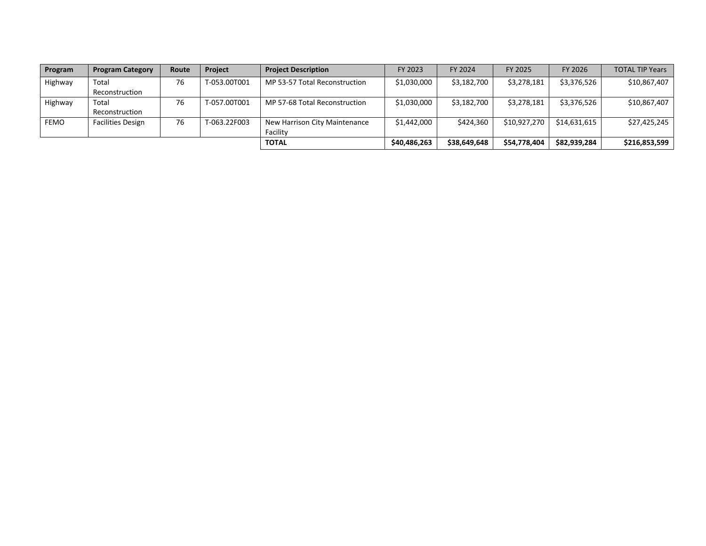| Program     | <b>Program Category</b>  | Route | <b>Project</b> | <b>Project Description</b>    | FY 2023      | FY 2024      | FY 2025      | FY 2026      | <b>TOTAL TIP Years</b> |
|-------------|--------------------------|-------|----------------|-------------------------------|--------------|--------------|--------------|--------------|------------------------|
| Highway     | Total                    | 76    | T-053.00T001   | MP 53-57 Total Reconstruction | \$1,030,000  | \$3,182,700  | \$3,278,181  | \$3,376,526  | \$10,867,407           |
|             | Reconstruction           |       |                |                               |              |              |              |              |                        |
| Highway     | Total                    | 76    | T-057.00T001   | MP 57-68 Total Reconstruction | \$1,030,000  | \$3,182,700  | \$3,278,181  | \$3,376,526  | \$10,867,407           |
|             | Reconstruction           |       |                |                               |              |              |              |              |                        |
| <b>FEMO</b> | <b>Facilities Design</b> | 76    | T-063.22F003   | New Harrison City Maintenance | \$1,442,000  | \$424,360    | \$10,927,270 | \$14.631.615 | \$27,425,245           |
|             |                          |       |                | Facility                      |              |              |              |              |                        |
|             |                          |       |                | TOTAL                         | \$40,486,263 | \$38,649,648 | \$54,778,404 | \$82,939,284 | \$216,853,599          |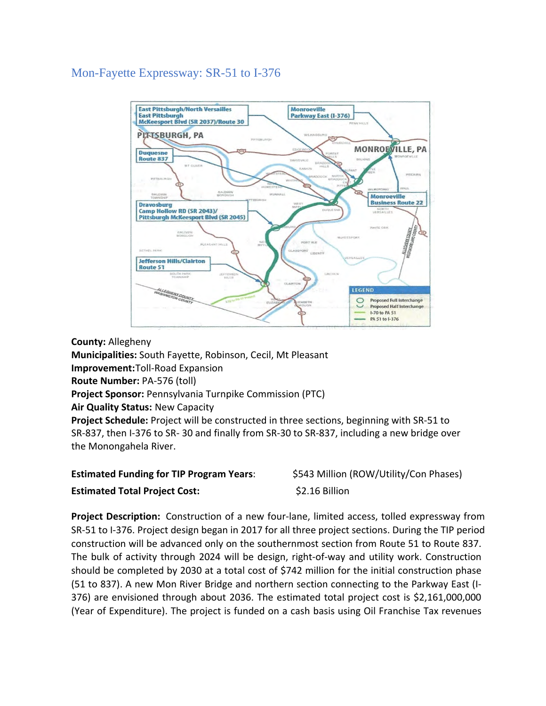#### Mon-Fayette Expressway: SR-51 to I-376



**County:** Allegheny **Municipalities:** South Fayette, Robinson, Cecil, Mt Pleasant **Improvement:**Toll-Road Expansion **Route Number:** PA-576 (toll) **Project Sponsor:** Pennsylvania Turnpike Commission (PTC) **Air Quality Status:** New Capacity **Project Schedule:** Project will be constructed in three sections, beginning with SR-51 to SR-837, then I-376 to SR- 30 and finally from SR-30 to SR-837, including a new bridge over the Monongahela River.

| <b>Estimated Funding for TIP Program Years:</b> | \$543 Million (ROW/Utility/Con Phases) |
|-------------------------------------------------|----------------------------------------|
| <b>Estimated Total Project Cost:</b>            | \$2.16 Billion                         |

**Project Description:** Construction of a new four-lane, limited access, tolled expressway from SR-51 to I-376. Project design began in 2017 for all three project sections. During the TIP period construction will be advanced only on the southernmost section from Route 51 to Route 837. The bulk of activity through 2024 will be design, right-of-way and utility work. Construction should be completed by 2030 at a total cost of \$742 million for the initial construction phase (51 to 837). A new Mon River Bridge and northern section connecting to the Parkway East (I-376) are envisioned through about 2036. The estimated total project cost is \$2,161,000,000 (Year of Expenditure). The project is funded on a cash basis using Oil Franchise Tax revenues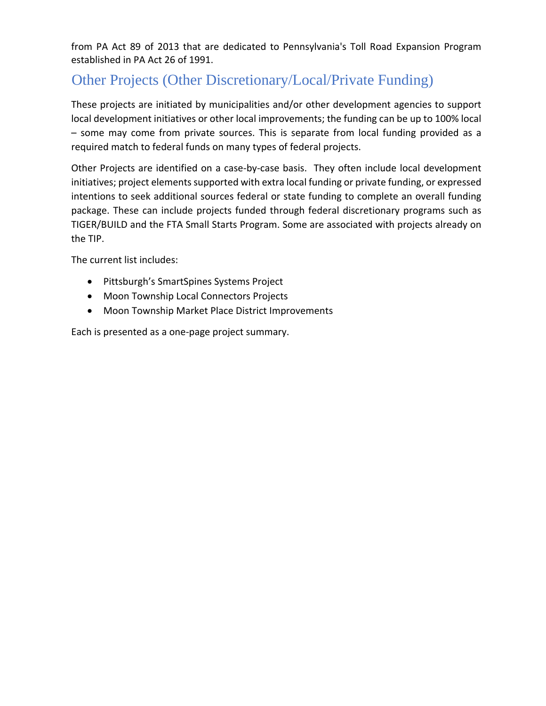from PA Act 89 of 2013 that are dedicated to Pennsylvania's Toll Road Expansion Program established in PA Act 26 of 1991.

# Other Projects (Other Discretionary/Local/Private Funding)

These projects are initiated by municipalities and/or other development agencies to support local development initiatives or other local improvements; the funding can be up to 100% local – some may come from private sources. This is separate from local funding provided as a required match to federal funds on many types of federal projects.

Other Projects are identified on a case-by-case basis. They often include local development initiatives; project elements supported with extra local funding or private funding, or expressed intentions to seek additional sources federal or state funding to complete an overall funding package. These can include projects funded through federal discretionary programs such as TIGER/BUILD and the FTA Small Starts Program. Some are associated with projects already on the TIP.

The current list includes:

- Pittsburgh's SmartSpines Systems Project
- Moon Township Local Connectors Projects
- Moon Township Market Place District Improvements

Each is presented as a one-page project summary.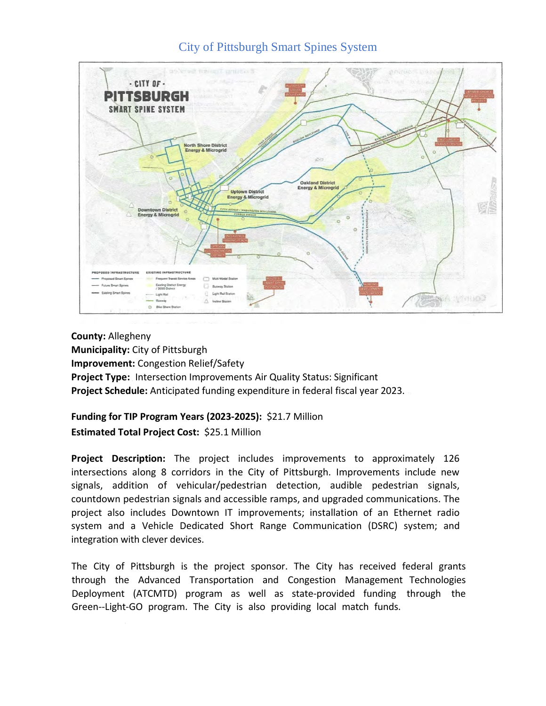#### City of Pittsburgh Smart Spines System



**County:** Allegheny **Municipality:** City of Pittsburgh **Improvement:** Congestion Relief/Safety **Project Type:** Intersection Improvements Air Quality Status: Significant **Project Schedule:** Anticipated funding expenditure in federal fiscal year 2023.

#### **Funding for TIP Program Years (2023-2025):** \$21.7 Million **Estimated Total Project Cost:** \$25.1 Million

**Project Description:** The project includes improvements to approximately 126 intersections along 8 corridors in the City of Pittsburgh. Improvements include new signals, addition of vehicular/pedestrian detection, audible pedestrian signals, countdown pedestrian signals and accessible ramps, and upgraded communications. The project also includes Downtown IT improvements; installation of an Ethernet radio system and a Vehicle Dedicated Short Range Communication (DSRC) system; and integration with clever devices.

The City of Pittsburgh is the project sponsor. The City has received federal grants through the Advanced Transportation and Congestion Management Technologies Deployment (ATCMTD) program as well as state-provided funding through the Green--Light-GO program. The City is also providing local match funds.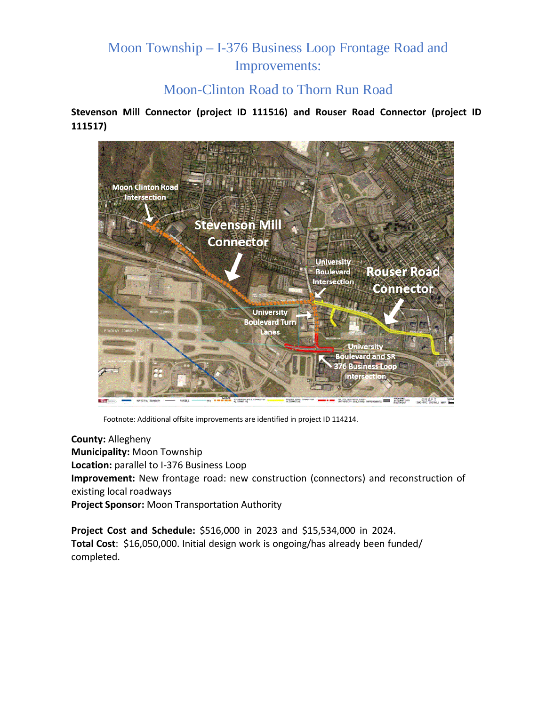### Moon Township – I-376 Business Loop Frontage Road and Improvements:

#### Moon-Clinton Road to Thorn Run Road

**Stevenson Mill Connector (project ID 111516) and Rouser Road Connector (project ID 111517)**



Footnote: Additional offsite improvements are identified in project ID 114214.

**County:** Allegheny **Municipality:** Moon Township **Location:** parallel to I-376 Business Loop **Improvement:** New frontage road: new construction (connectors) and reconstruction of existing local roadways **Project Sponsor:** Moon Transportation Authority

**Project Cost and Schedule:** \$516,000 in 2023 and \$15,534,000 in 2024. **Total Cost**: \$16,050,000. Initial design work is ongoing/has already been funded/ completed.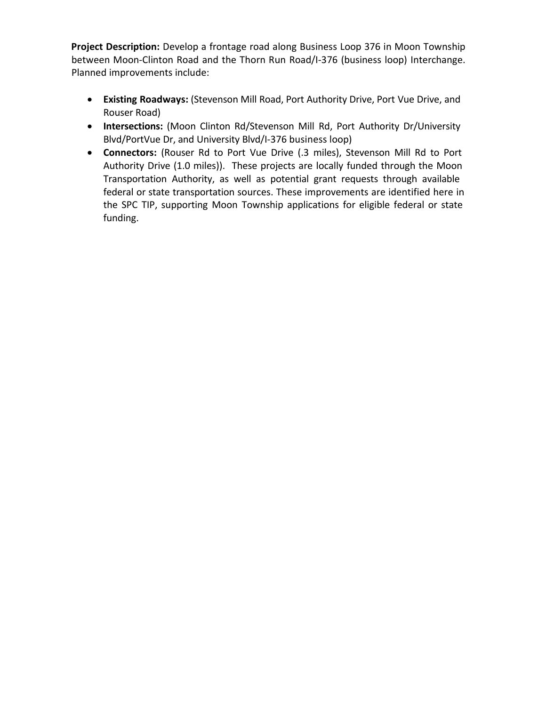**Project Description:** Develop a frontage road along Business Loop 376 in Moon Township between Moon-Clinton Road and the Thorn Run Road/I-376 (business loop) Interchange. Planned improvements include:

- **Existing Roadways:** (Stevenson Mill Road, Port Authority Drive, Port Vue Drive, and Rouser Road)
- **Intersections:** (Moon Clinton Rd/Stevenson Mill Rd, Port Authority Dr/University Blvd/PortVue Dr, and University Blvd/I-376 business loop)
- **Connectors:** (Rouser Rd to Port Vue Drive (.3 miles), Stevenson Mill Rd to Port Authority Drive (1.0 miles)). These projects are locally funded through the Moon Transportation Authority, as well as potential grant requests through available federal or state transportation sources. These improvements are identified here in the SPC TIP, supporting Moon Township applications for eligible federal or state funding.